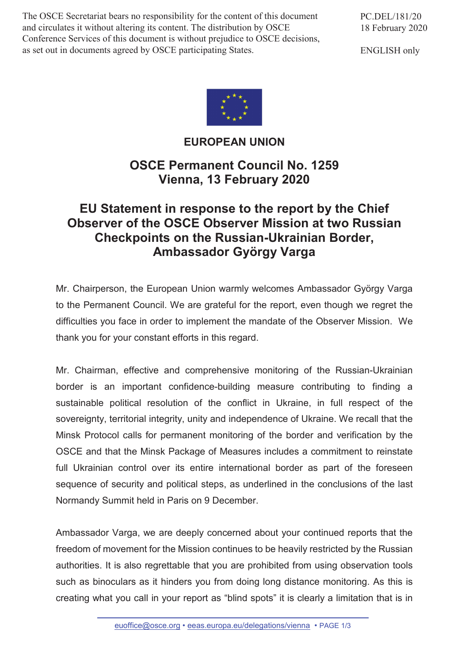The OSCE Secretariat bears no responsibility for the content of this document and circulates it without altering its content. The distribution by OSCE Conference Services of this document is without prejudice to OSCE decisions, as set out in documents agreed by OSCE participating States.

PC.DEL/181/20 18 February 2020

ENGLISH only



**EUROPEAN UNION**

## **OSCE Permanent Council No. 1259 Vienna, 13 February 2020**

## **EU Statement in response to the report by the Chief Observer of the OSCE Observer Mission at two Russian Checkpoints on the Russian-Ukrainian Border, Ambassador György Varga**

Mr. Chairperson, the European Union warmly welcomes Ambassador György Varga to the Permanent Council. We are grateful for the report, even though we regret the difficulties you face in order to implement the mandate of the Observer Mission. We thank you for your constant efforts in this regard.

Mr. Chairman, effective and comprehensive monitoring of the Russian-Ukrainian border is an important confidence-building measure contributing to finding a sustainable political resolution of the conflict in Ukraine, in full respect of the sovereignty, territorial integrity, unity and independence of Ukraine. We recall that the Minsk Protocol calls for permanent monitoring of the border and verification by the OSCE and that the Minsk Package of Measures includes a commitment to reinstate full Ukrainian control over its entire international border as part of the foreseen sequence of security and political steps, as underlined in the conclusions of the last Normandy Summit held in Paris on 9 December.

Ambassador Varga, we are deeply concerned about your continued reports that the freedom of movement for the Mission continues to be heavily restricted by the Russian authorities. It is also regrettable that you are prohibited from using observation tools such as binoculars as it hinders you from doing long distance monitoring. As this is creating what you call in your report as "blind spots" it is clearly a limitation that is in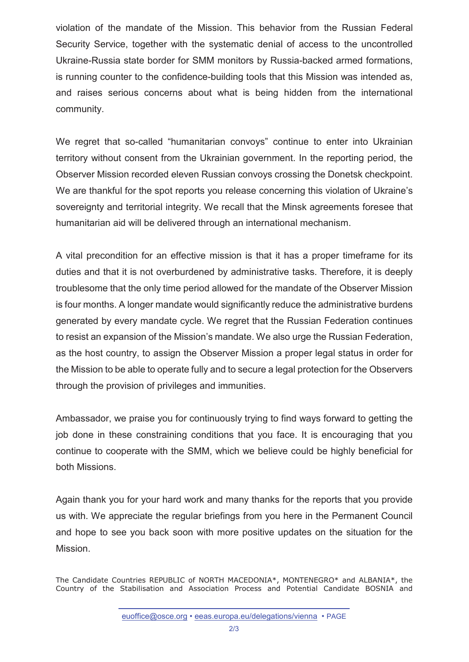violation of the mandate of the Mission. This behavior from the Russian Federal Security Service, together with the systematic denial of access to the uncontrolled Ukraine-Russia state border for SMM monitors by Russia-backed armed formations, is running counter to the confidence-building tools that this Mission was intended as, and raises serious concerns about what is being hidden from the international community.

We regret that so-called "humanitarian convoys" continue to enter into Ukrainian territory without consent from the Ukrainian government. In the reporting period, the Observer Mission recorded eleven Russian convoys crossing the Donetsk checkpoint. We are thankful for the spot reports you release concerning this violation of Ukraine's sovereignty and territorial integrity. We recall that the Minsk agreements foresee that humanitarian aid will be delivered through an international mechanism.

A vital precondition for an effective mission is that it has a proper timeframe for its duties and that it is not overburdened by administrative tasks. Therefore, it is deeply troublesome that the only time period allowed for the mandate of the Observer Mission is four months. A longer mandate would significantly reduce the administrative burdens generated by every mandate cycle. We regret that the Russian Federation continues to resist an expansion of the Mission's mandate. We also urge the Russian Federation, as the host country, to assign the Observer Mission a proper legal status in order for the Mission to be able to operate fully and to secure a legal protection for the Observers through the provision of privileges and immunities.

Ambassador, we praise you for continuously trying to find ways forward to getting the job done in these constraining conditions that you face. It is encouraging that you continue to cooperate with the SMM, which we believe could be highly beneficial for both Missions.

Again thank you for your hard work and many thanks for the reports that you provide us with. We appreciate the regular briefings from you here in the Permanent Council and hope to see you back soon with more positive updates on the situation for the Mission.

The Candidate Countries REPUBLIC of NORTH MACEDONIA\*, MONTENEGRO\* and ALBANIA\*, the Country of the Stabilisation and Association Process and Potential Candidate BOSNIA and